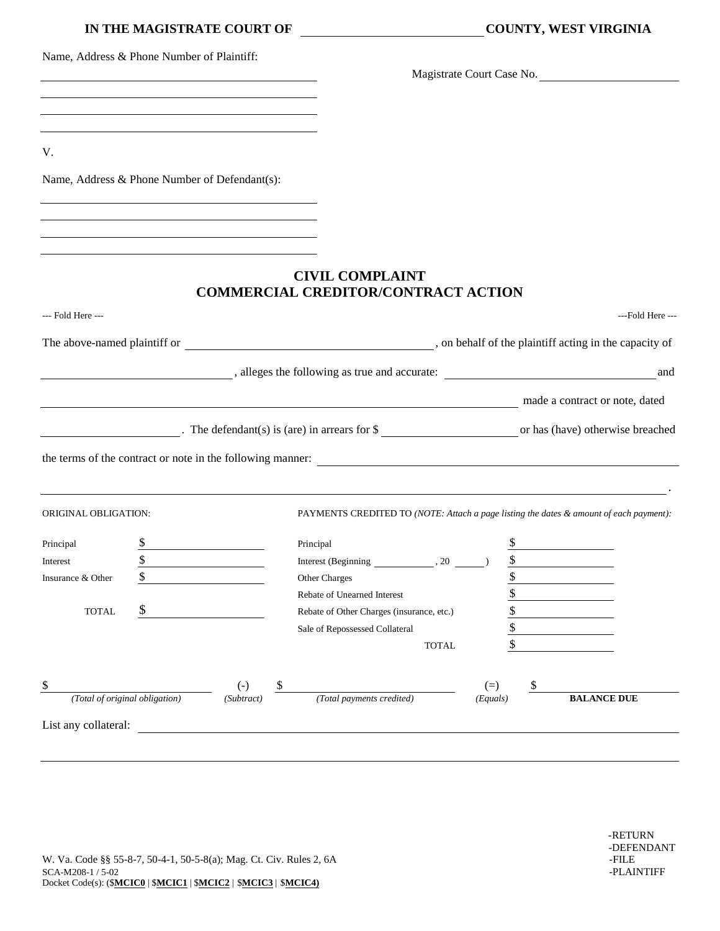|                                | IN THE MAGISTRATE COURT OF                                                                                        |                                                                                         | <b>COUNTY, WEST VIRGINIA</b>                                                           |          |  |                    |                  |  |
|--------------------------------|-------------------------------------------------------------------------------------------------------------------|-----------------------------------------------------------------------------------------|----------------------------------------------------------------------------------------|----------|--|--------------------|------------------|--|
|                                | Name, Address & Phone Number of Plaintiff:<br><u> 1989 - Johann Stein, mars an deus Amerikaansk kommunister (</u> |                                                                                         | Magistrate Court Case No.                                                              |          |  |                    |                  |  |
|                                | <u> 1989 - Johann Stein, marwolaethau (b. 1989)</u>                                                               |                                                                                         |                                                                                        |          |  |                    |                  |  |
|                                |                                                                                                                   |                                                                                         |                                                                                        |          |  |                    |                  |  |
|                                |                                                                                                                   |                                                                                         |                                                                                        |          |  |                    |                  |  |
| V.                             |                                                                                                                   |                                                                                         |                                                                                        |          |  |                    |                  |  |
|                                | Name, Address & Phone Number of Defendant(s):                                                                     |                                                                                         |                                                                                        |          |  |                    |                  |  |
|                                |                                                                                                                   |                                                                                         |                                                                                        |          |  |                    |                  |  |
|                                | <u> 1989 - Johann Stein, marwolaethau (b. 1989)</u>                                                               |                                                                                         |                                                                                        |          |  |                    |                  |  |
|                                |                                                                                                                   |                                                                                         |                                                                                        |          |  |                    |                  |  |
|                                |                                                                                                                   | <b>CIVIL COMPLAINT</b>                                                                  |                                                                                        |          |  |                    |                  |  |
|                                |                                                                                                                   | <b>COMMERCIAL CREDITOR/CONTRACT ACTION</b>                                              |                                                                                        |          |  |                    |                  |  |
| --- Fold Here ---              |                                                                                                                   |                                                                                         |                                                                                        |          |  |                    | ---Fold Here --- |  |
|                                |                                                                                                                   | The above-named plaintiff or subset of the plaintiff acting in the capacity of          |                                                                                        |          |  |                    |                  |  |
|                                |                                                                                                                   |                                                                                         |                                                                                        |          |  |                    |                  |  |
|                                |                                                                                                                   |                                                                                         |                                                                                        |          |  |                    |                  |  |
|                                |                                                                                                                   | made a contract or note, dated                                                          |                                                                                        |          |  |                    |                  |  |
|                                |                                                                                                                   |                                                                                         |                                                                                        |          |  |                    |                  |  |
|                                |                                                                                                                   | The defendant(s) is (are) in arrears for $\frac{1}{2}$ or has (have) otherwise breached |                                                                                        |          |  |                    |                  |  |
|                                |                                                                                                                   | the terms of the contract or note in the following manner:                              |                                                                                        |          |  |                    |                  |  |
|                                |                                                                                                                   |                                                                                         |                                                                                        |          |  |                    |                  |  |
| ORIGINAL OBLIGATION:           |                                                                                                                   |                                                                                         | PAYMENTS CREDITED TO (NOTE: Attach a page listing the dates & amount of each payment): |          |  |                    |                  |  |
| Principal                      | \$                                                                                                                | Principal                                                                               |                                                                                        | \$       |  |                    |                  |  |
| Interest                       | \$                                                                                                                | Interest (Beginning                                                                     | , 20                                                                                   | \$       |  |                    |                  |  |
| Insurance & Other              | \$                                                                                                                | Other Charges                                                                           |                                                                                        | \$       |  |                    |                  |  |
|                                |                                                                                                                   | Rebate of Unearned Interest                                                             |                                                                                        | \$       |  |                    |                  |  |
| <b>TOTAL</b>                   |                                                                                                                   | Rebate of Other Charges (insurance, etc.)<br>Sale of Repossessed Collateral             |                                                                                        | \$<br>\$ |  |                    |                  |  |
|                                |                                                                                                                   |                                                                                         | <b>TOTAL</b>                                                                           | \$       |  |                    |                  |  |
|                                |                                                                                                                   |                                                                                         |                                                                                        |          |  |                    |                  |  |
| \$                             | $\left( -\right)$                                                                                                 | \$                                                                                      |                                                                                        | $(=)$    |  |                    |                  |  |
| (Total of original obligation) | (Subtract)                                                                                                        | (Total payments credited)                                                               |                                                                                        | (Equals) |  | <b>BALANCE DUE</b> |                  |  |
| List any collateral:           |                                                                                                                   |                                                                                         |                                                                                        |          |  |                    |                  |  |
|                                |                                                                                                                   |                                                                                         |                                                                                        |          |  |                    |                  |  |
|                                |                                                                                                                   |                                                                                         |                                                                                        |          |  |                    |                  |  |